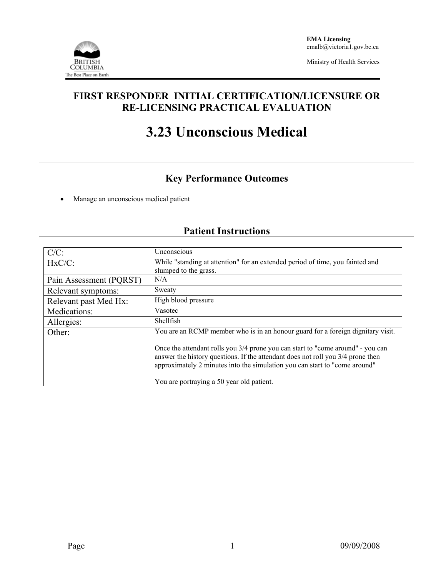

Ministry of Health Services

### **FIRST RESPONDER INITIAL CERTIFICATION/LICENSURE OR RE-LICENSING PRACTICAL EVALUATION**

# **3.23 Unconscious Medical**

## **Key Performance Outcomes**

• Manage an unconscious medical patient

# **Patient Instructions**

| $C/C$ :                 | Unconscious                                                                                                                                                                                                                                      |  |  |  |
|-------------------------|--------------------------------------------------------------------------------------------------------------------------------------------------------------------------------------------------------------------------------------------------|--|--|--|
| $HxC/C$ :               | While "standing at attention" for an extended period of time, you fainted and                                                                                                                                                                    |  |  |  |
|                         | slumped to the grass.                                                                                                                                                                                                                            |  |  |  |
| Pain Assessment (PQRST) | N/A                                                                                                                                                                                                                                              |  |  |  |
| Relevant symptoms:      | Sweaty                                                                                                                                                                                                                                           |  |  |  |
| Relevant past Med Hx:   | High blood pressure                                                                                                                                                                                                                              |  |  |  |
| Medications:            | Vasotec                                                                                                                                                                                                                                          |  |  |  |
| Allergies:              | <b>Shellfish</b>                                                                                                                                                                                                                                 |  |  |  |
| Other:                  | You are an RCMP member who is in an honour guard for a foreign dignitary visit.                                                                                                                                                                  |  |  |  |
|                         | Once the attendant rolls you 3/4 prone you can start to "come around" - you can<br>answer the history questions. If the attendant does not roll you 3/4 prone then<br>approximately 2 minutes into the simulation you can start to "come around" |  |  |  |
|                         | You are portraying a 50 year old patient.                                                                                                                                                                                                        |  |  |  |